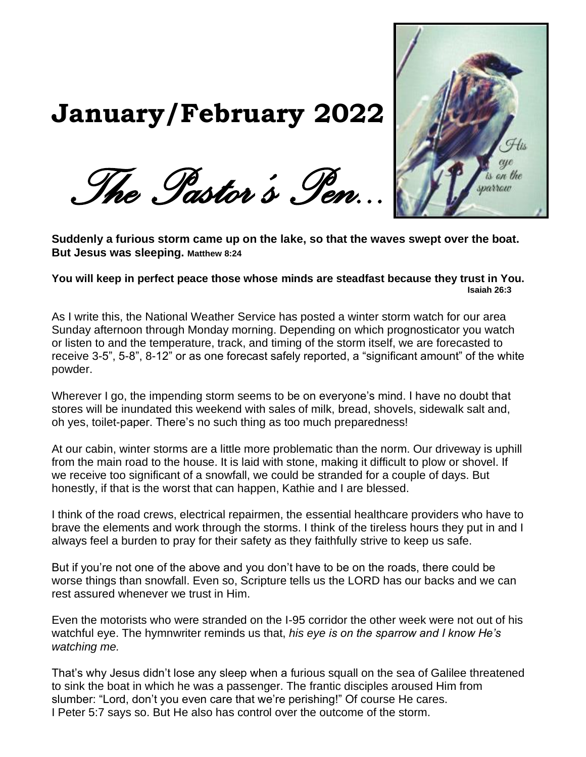

# *The Pastor's Pen...*

**January/February 2022**

**Suddenly a furious storm came up on the lake, so that the waves swept over the boat. But Jesus was sleeping. Matthew 8:24**

**You will keep in perfect peace those whose minds are steadfast because they trust in You. Isaiah 26:3**

As I write this, the National Weather Service has posted a winter storm watch for our area Sunday afternoon through Monday morning. Depending on which prognosticator you watch or listen to and the temperature, track, and timing of the storm itself, we are forecasted to receive 3-5", 5-8", 8-12" or as one forecast safely reported, a "significant amount" of the white powder.

Wherever I go, the impending storm seems to be on everyone's mind. I have no doubt that stores will be inundated this weekend with sales of milk, bread, shovels, sidewalk salt and, oh yes, toilet-paper. There's no such thing as too much preparedness!

At our cabin, winter storms are a little more problematic than the norm. Our driveway is uphill from the main road to the house. It is laid with stone, making it difficult to plow or shovel. If we receive too significant of a snowfall, we could be stranded for a couple of days. But honestly, if that is the worst that can happen, Kathie and I are blessed.

I think of the road crews, electrical repairmen, the essential healthcare providers who have to brave the elements and work through the storms. I think of the tireless hours they put in and I always feel a burden to pray for their safety as they faithfully strive to keep us safe.

But if you're not one of the above and you don't have to be on the roads, there could be worse things than snowfall. Even so, Scripture tells us the LORD has our backs and we can rest assured whenever we trust in Him.

Even the motorists who were stranded on the I-95 corridor the other week were not out of his watchful eye. The hymnwriter reminds us that, *his eye is on the sparrow and I know He's watching me.*

That's why Jesus didn't lose any sleep when a furious squall on the sea of Galilee threatened to sink the boat in which he was a passenger. The frantic disciples aroused Him from slumber: "Lord, don't you even care that we're perishing!" Of course He cares. I Peter 5:7 says so. But He also has control over the outcome of the storm.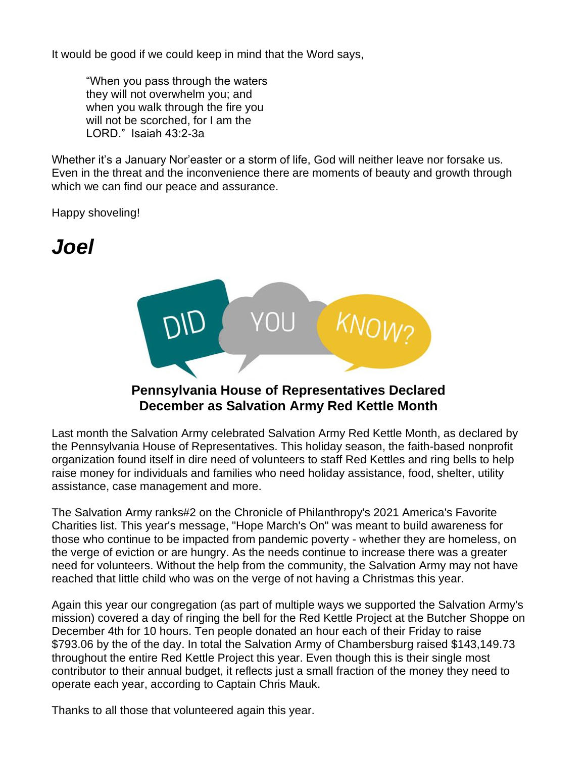It would be good if we could keep in mind that the Word says,

"When you pass through the waters they will not overwhelm you; and when you walk through the fire you will not be scorched, for I am the LORD." Isaiah 43:2-3a

Whether it's a January Nor'easter or a storm of life, God will neither leave nor forsake us. Even in the threat and the inconvenience there are moments of beauty and growth through which we can find our peace and assurance.

Happy shoveling!

# *Joel*



#### **Pennsylvania House of Representatives Declared December as Salvation Army Red Kettle Month**

Last month the Salvation Army celebrated Salvation Army Red Kettle Month, as declared by the Pennsylvania House of Representatives. This holiday season, the faith-based nonprofit organization found itself in dire need of volunteers to staff Red Kettles and ring bells to help raise money for individuals and families who need holiday assistance, food, shelter, utility assistance, case management and more.

The Salvation Army ranks#2 on the Chronicle of Philanthropy's 2021 America's Favorite Charities list. This year's message, "Hope March's On" was meant to build awareness for those who continue to be impacted from pandemic poverty - whether they are homeless, on the verge of eviction or are hungry. As the needs continue to increase there was a greater need for volunteers. Without the help from the community, the Salvation Army may not have reached that little child who was on the verge of not having a Christmas this year.

Again this year our congregation (as part of multiple ways we supported the Salvation Army's mission) covered a day of ringing the bell for the Red Kettle Project at the Butcher Shoppe on December 4th for 10 hours. Ten people donated an hour each of their Friday to raise \$793.06 by the of the day. In total the Salvation Army of Chambersburg raised \$143,149.73 throughout the entire Red Kettle Project this year. Even though this is their single most contributor to their annual budget, it reflects just a small fraction of the money they need to operate each year, according to Captain Chris Mauk.

Thanks to all those that volunteered again this year.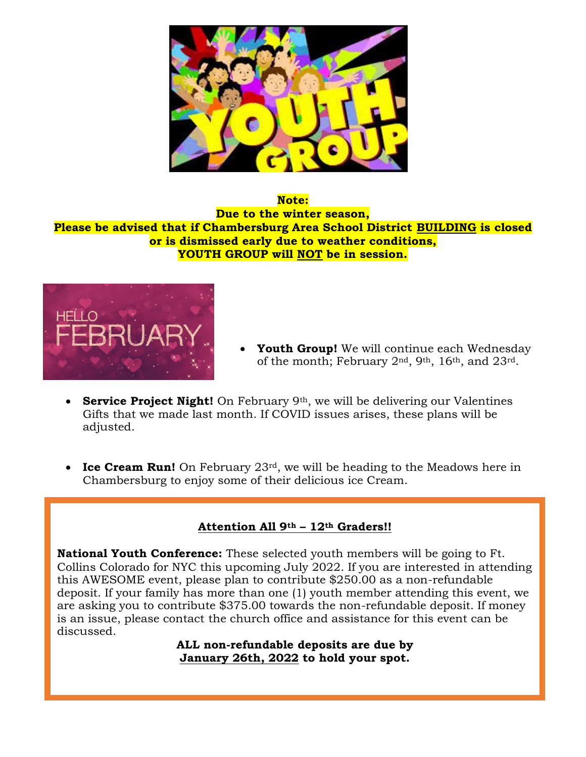

**Note: Due to the winter season, Please be advised that if Chambersburg Area School District BUILDING is closed or is dismissed early due to weather conditions, YOUTH GROUP will NOT be in session.**



- **Youth Group!** We will continue each Wednesday of the month; February 2nd, 9th, 16th, and 23rd.
- **Service Project Night!** On February 9th, we will be delivering our Valentines Gifts that we made last month. If COVID issues arises, these plans will be adjusted.
- **Ice Cream Run!** On February 23<sup>rd</sup>, we will be heading to the Meadows here in Chambersburg to enjoy some of their delicious ice Cream.

#### **Attention All 9th – 12th Graders!!**

**National Youth Conference:** These selected youth members will be going to Ft. Collins Colorado for NYC this upcoming July 2022. If you are interested in attending this AWESOME event, please plan to contribute \$250.00 as a non-refundable deposit. If your family has more than one (1) youth member attending this event, we are asking you to contribute \$375.00 towards the non-refundable deposit. If money is an issue, please contact the church office and assistance for this event can be discussed.

> **ALL non-refundable deposits are due by January 26th, 2022 to hold your spot.**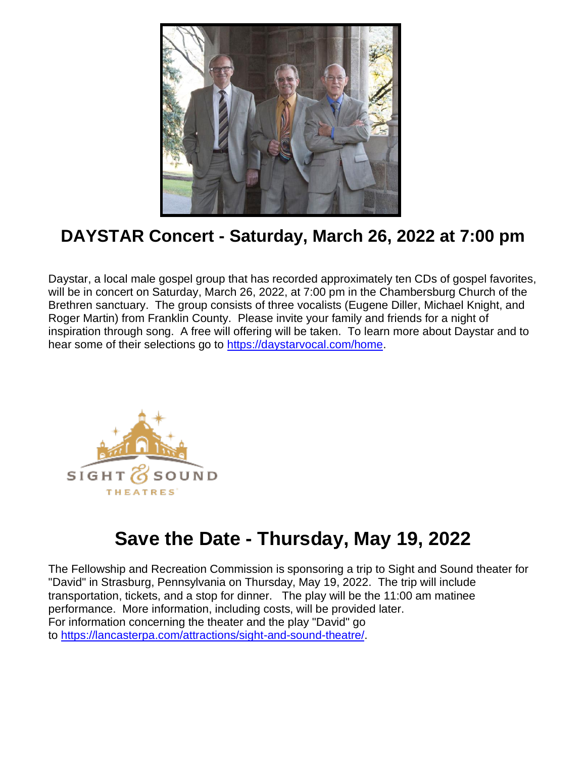

# **DAYSTAR Concert - Saturday, March 26, 2022 at 7:00 pm**

Daystar, a local male gospel group that has recorded approximately ten CDs of gospel favorites, will be in concert on Saturday, March 26, 2022, at 7:00 pm in the Chambersburg Church of the Brethren sanctuary. The group consists of three vocalists (Eugene Diller, Michael Knight, and Roger Martin) from Franklin County. Please invite your family and friends for a night of inspiration through song. A free will offering will be taken. To learn more about Daystar and to hear some of their selections go to [https://daystarvocal.com/home.](https://daystarvocal.com/home)



# **Save the Date - Thursday, May 19, 2022**

The Fellowship and Recreation Commission is sponsoring a trip to Sight and Sound theater for "David" in Strasburg, Pennsylvania on Thursday, May 19, 2022. The trip will include transportation, tickets, and a stop for dinner. The play will be the 11:00 am matinee performance. More information, including costs, will be provided later. For information concerning the theater and the play "David" go to [https://lancasterpa.com/attractions/sight-and-sound-theatre/.](https://lancasterpa.com/attractions/sight-and-sound-theatre/)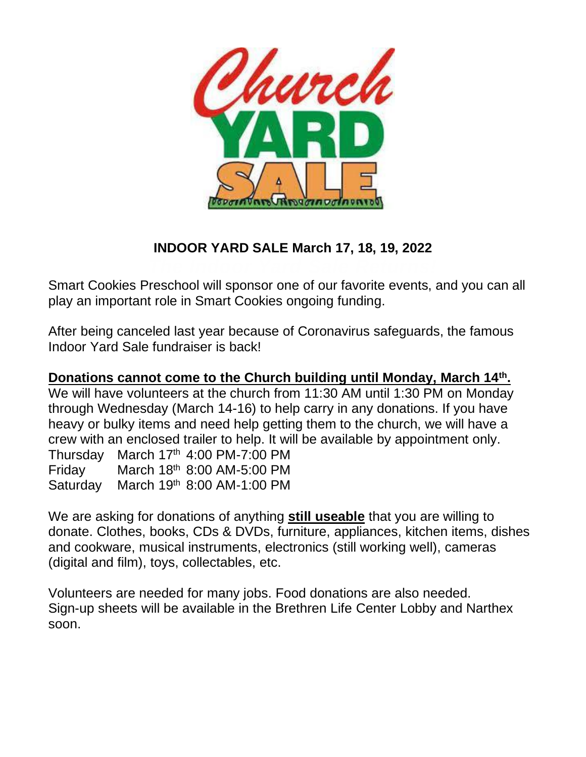

## **INDOOR YARD SALE March 17, 18, 19, 2022**

Smart Cookies Preschool will sponsor one of our favorite events, and you can all play an important role in Smart Cookies ongoing funding.

After being canceled last year because of Coronavirus safeguards, the famous Indoor Yard Sale fundraiser is back!

#### **Donations cannot come to the Church building until Monday, March 14th .**

We will have volunteers at the church from 11:30 AM until 1:30 PM on Monday through Wednesday (March 14-16) to help carry in any donations. If you have heavy or bulky items and need help getting them to the church, we will have a crew with an enclosed trailer to help. It will be available by appointment only. Thursday March  $17<sup>th</sup>$  4:00 PM-7:00 PM Friday March 18th 8:00 AM-5:00 PM Saturday March 19th 8:00 AM-1:00 PM

We are asking for donations of anything **still useable** that you are willing to donate. Clothes, books, CDs & DVDs, furniture, appliances, kitchen items, dishes and cookware, musical instruments, electronics (still working well), cameras (digital and film), toys, collectables, etc.

Volunteers are needed for many jobs. Food donations are also needed. Sign-up sheets will be available in the Brethren Life Center Lobby and Narthex soon.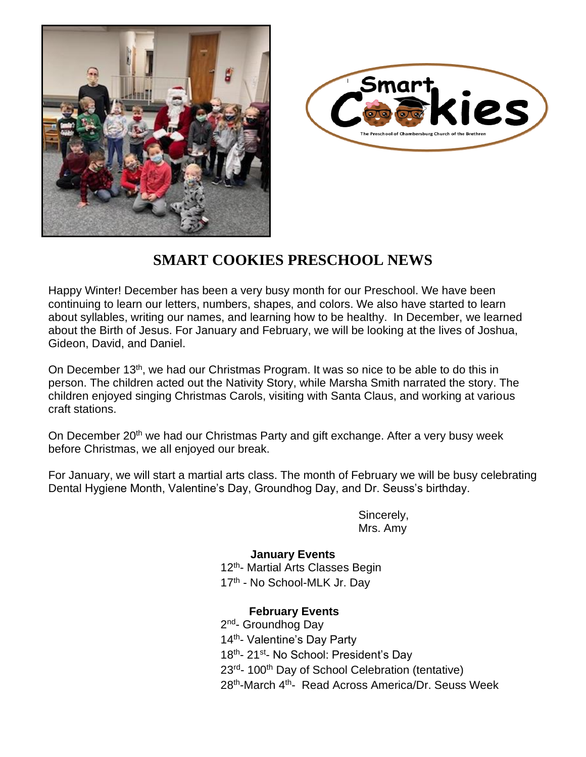



### **SMART COOKIES PRESCHOOL NEWS**

Happy Winter! December has been a very busy month for our Preschool. We have been continuing to learn our letters, numbers, shapes, and colors. We also have started to learn about syllables, writing our names, and learning how to be healthy. In December, we learned about the Birth of Jesus. For January and February, we will be looking at the lives of Joshua, Gideon, David, and Daniel.

On December 13<sup>th</sup>, we had our Christmas Program. It was so nice to be able to do this in person. The children acted out the Nativity Story, while Marsha Smith narrated the story. The children enjoyed singing Christmas Carols, visiting with Santa Claus, and working at various craft stations.

On December 20<sup>th</sup> we had our Christmas Party and gift exchange. After a very busy week before Christmas, we all enjoyed our break.

For January, we will start a martial arts class. The month of February we will be busy celebrating Dental Hygiene Month, Valentine's Day, Groundhog Day, and Dr. Seuss's birthday.

> Sincerely, Mrs. Amy

#### **January Events**  $12^{\text{th}}$ 12<sup>th</sup>- Martial Arts Classes Begin 17<sup>th</sup> - No School-MLK Jr. Day

#### **February Events**

2<sup>nd</sup>- Groundhog Day 14<sup>th</sup>- Valentine's Day Party 18<sup>th</sup>- 21<sup>st</sup>- No School: President's Day 23<sup>rd</sup>- 100<sup>th</sup> Day of School Celebration (tentative) 28<sup>th</sup>-March 4<sup>th</sup>- Read Across America/Dr. Seuss Week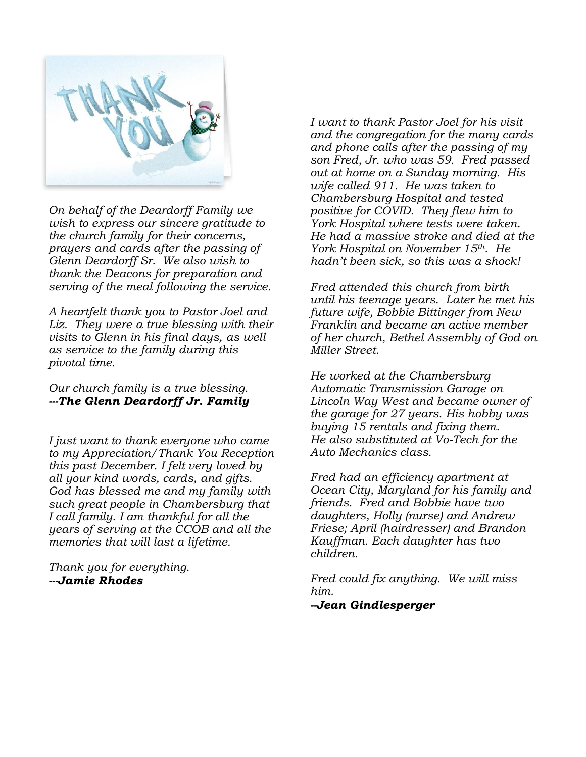

*On behalf of the Deardorff Family we wish to express our sincere gratitude to the church family for their concerns, prayers and cards after the passing of Glenn Deardorff Sr. We also wish to thank the Deacons for preparation and serving of the meal following the service.*

*A heartfelt thank you to Pastor Joel and Liz. They were a true blessing with their visits to Glenn in his final days, as well as service to the family during this pivotal time.*

#### *Our church family is a true blessing. ---The Glenn Deardorff Jr. Family*

*I just want to thank everyone who came to my Appreciation/Thank You Reception this past December. I felt very loved by all your kind words, cards, and gifts. God has blessed me and my family with such great people in Chambersburg that I call family. I am thankful for all the years of serving at the CCOB and all the memories that will last a lifetime.* 

*Thank you for everything. ---Jamie Rhodes* 

*I want to thank Pastor Joel for his visit and the congregation for the many cards and phone calls after the passing of my son Fred, Jr. who was 59. Fred passed out at home on a Sunday morning. His wife called 911. He was taken to Chambersburg Hospital and tested positive for COVID. They flew him to York Hospital where tests were taken. He had a massive stroke and died at the York Hospital on November 15th. He hadn't been sick, so this was a shock!*

*Fred attended this church from birth until his teenage years. Later he met his future wife, Bobbie Bittinger from New Franklin and became an active member of her church, Bethel Assembly of God on Miller Street.*

*He worked at the Chambersburg Automatic Transmission Garage on Lincoln Way West and became owner of the garage for 27 years. His hobby was buying 15 rentals and fixing them. He also substituted at Vo-Tech for the Auto Mechanics class.*

*Fred had an efficiency apartment at Ocean City, Maryland for his family and friends. Fred and Bobbie have two daughters, Holly (nurse) and Andrew Friese; April (hairdresser) and Brandon Kauffman. Each daughter has two children.*

*Fred could fix anything. We will miss him.*

*--Jean Gindlesperger*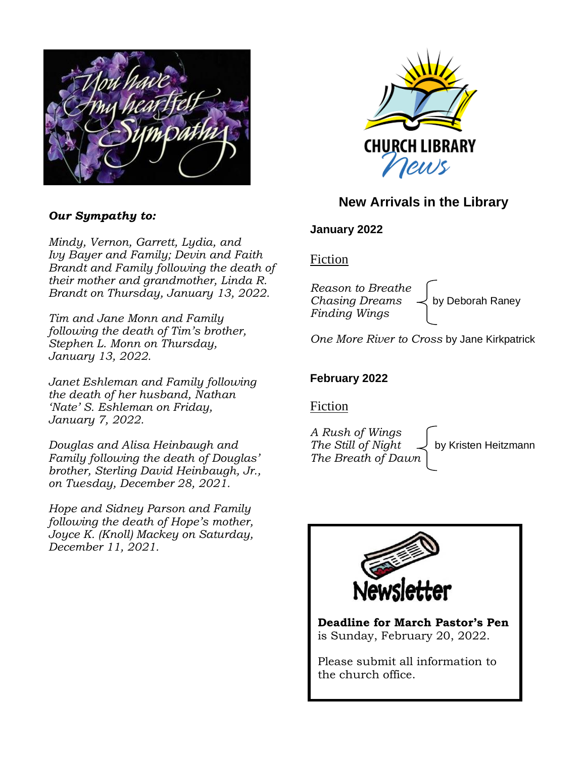

#### *Our Sympathy to:*

*Mindy, Vernon, Garrett, Lydia, and Ivy Bayer and Family; Devin and Faith Brandt and Family following the death of their mother and grandmother, Linda R. Brandt on Thursday, January 13, 2022.*

*Tim and Jane Monn and Family following the death of Tim's brother, Stephen L. Monn on Thursday, January 13, 2022.*

*Janet Eshleman and Family following the death of her husband, Nathan 'Nate' S. Eshleman on Friday, January 7, 2022.*

*Douglas and Alisa Heinbaugh and Family following the death of Douglas' brother, Sterling David Heinbaugh, Jr., on Tuesday, December 28, 2021.*

*Hope and Sidney Parson and Family following the death of Hope's mother, Joyce K. (Knoll) Mackey on Saturday, December 11, 2021.*



#### **New Arrivals in the Library**

#### **January 2022**

#### Fiction

*Reason to Breathe Chasing Dreams*  $\prec$  by Deborah Raney *Finding Wings* 

*One More River to Cross* by Jane Kirkpatrick

#### **February 2022**

Fiction

*A Rush of Wings The Still of Night*  $\downarrow$  by Kristen Heitzmann *The Breath of Dawn*

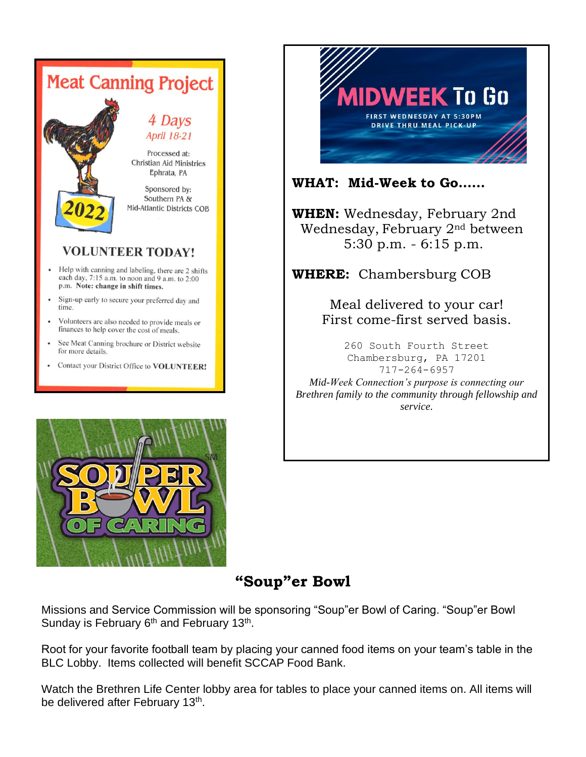# **Meat Canning Project** 4 Days **April 18-21** Processed at: Christian Aid Ministries Ephrata, PA Sponsored by: Southern PA & Mid-Atlantic Districts COB

#### **VOLUNTEER TODAY!**

- Help with canning and labeling, there are 2 shifts each day,  $7:15$  a.m. to noon and 9 a.m. to  $2:00$ p.m. Note: change in shift times.
- Sign-up early to secure your preferred day and time.
- Volunteers are also needed to provide meals or finances to help cover the cost of meals.
- See Meat Canning brochure or District website for more details.
- Contact your District Office to VOLUNTEER!





#### **WHAT: Mid-Week to Go……**

**WHEN:** Wednesday, February 2nd Wednesday, February 2nd between 5:30 p.m. - 6:15 p.m.

**WHERE:** Chambersburg COB

Meal delivered to your car! First come-first served basis.

260 South Fourth Street Chambersburg, PA 17201 717-264-6957

*Mid-Week Connection's purpose is connecting our Brethren family to the community through fellowship and service.*

# **"Soup"er Bowl**

Missions and Service Commission will be sponsoring "Soup"er Bowl of Caring. "Soup"er Bowl Sunday is February 6<sup>th</sup> and February 13<sup>th</sup>.

Root for your favorite football team by placing your canned food items on your team's table in the BLC Lobby. Items collected will benefit SCCAP Food Bank.

Watch the Brethren Life Center lobby area for tables to place your canned items on. All items will be delivered after February 13<sup>th</sup>.